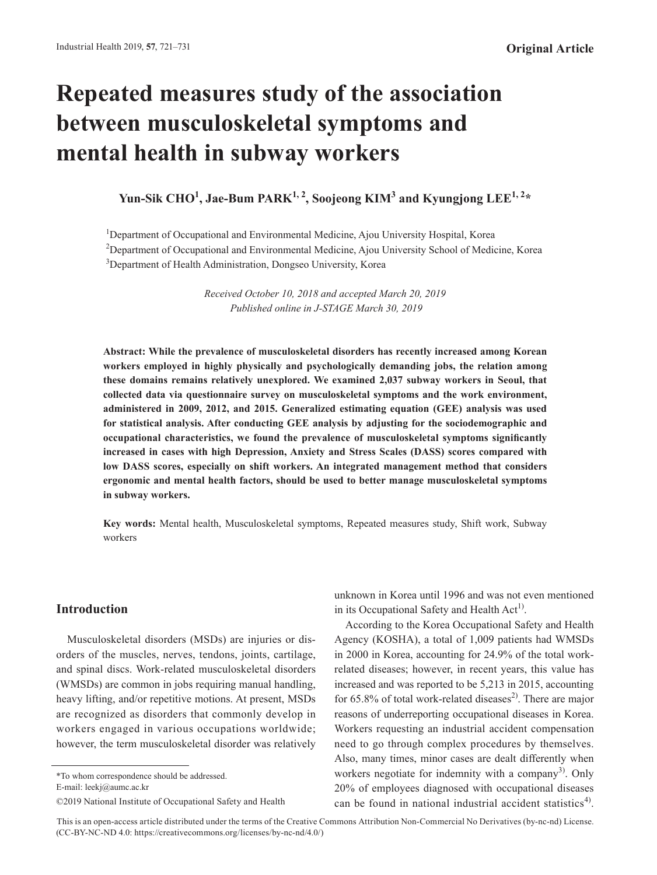# **Repeated measures study of the association between musculoskeletal symptoms and mental health in subway workers**

**Yun-Sik CHO<sup>1</sup> , Jae-Bum PARK1, 2, Soojeong KIM3 and Kyungjong LEE1, 2\***

<sup>1</sup>Department of Occupational and Environmental Medicine, Ajou University Hospital, Korea <sup>2</sup>Department of Occupational and Environmental Medicine, Ajou University School of Medicine, Korea <sup>3</sup>Department of Health Administration, Dongseo University, Korea

> *Received October 10, 2018 and accepted March 20, 2019 Published online in J-STAGE March 30, 2019*

**Abstract: While the prevalence of musculoskeletal disorders has recently increased among Korean workers employed in highly physically and psychologically demanding jobs, the relation among these domains remains relatively unexplored. We examined 2,037 subway workers in Seoul, that collected data via questionnaire survey on musculoskeletal symptoms and the work environment, administered in 2009, 2012, and 2015. Generalized estimating equation (GEE) analysis was used for statistical analysis. After conducting GEE analysis by adjusting for the sociodemographic and occupational characteristics, we found the prevalence of musculoskeletal symptoms significantly increased in cases with high Depression, Anxiety and Stress Scales (DASS) scores compared with low DASS scores, especially on shift workers. An integrated management method that considers ergonomic and mental health factors, should be used to better manage musculoskeletal symptoms in subway workers.**

**Key words:** Mental health, Musculoskeletal symptoms, Repeated measures study, Shift work, Subway workers

# **Introduction**

Musculoskeletal disorders (MSDs) are injuries or disorders of the muscles, nerves, tendons, joints, cartilage, and spinal discs. Work-related musculoskeletal disorders (WMSDs) are common in jobs requiring manual handling, heavy lifting, and/or repetitive motions. At present, MSDs are recognized as disorders that commonly develop in workers engaged in various occupations worldwide; however, the term musculoskeletal disorder was relatively

\*To whom correspondence should be addressed.

E-mail: leekj@aumc.ac.kr

unknown in Korea until 1996 and was not even mentioned in its Occupational Safety and Health  $Act<sup>1</sup>$ .

According to the Korea Occupational Safety and Health Agency (KOSHA), a total of 1,009 patients had WMSDs in 2000 in Korea, accounting for 24.9% of the total workrelated diseases; however, in recent years, this value has increased and was reported to be 5,213 in 2015, accounting for  $65.8\%$  of total work-related diseases<sup>[2](#page-8-1))</sup>. There are major reasons of underreporting occupational diseases in Korea. Workers requesting an industrial accident compensation need to go through complex procedures by themselves. Also, many times, minor cases are dealt differently when workers negotiate for indemnity with a company<sup>[3\)](#page-8-2)</sup>. Only 20% of employees diagnosed with occupational diseases can be found in national industrial accident statistics<sup>[4\)](#page-8-3)</sup>.

<sup>©2019</sup> National Institute of Occupational Safety and Health

This is an open-access article distributed under the terms of the Creative Commons Attribution Non-Commercial No Derivatives (by-nc-nd) License. (CC-BY-NC-ND 4.0: https://creativecommons.org/licenses/by-nc-nd/4.0/)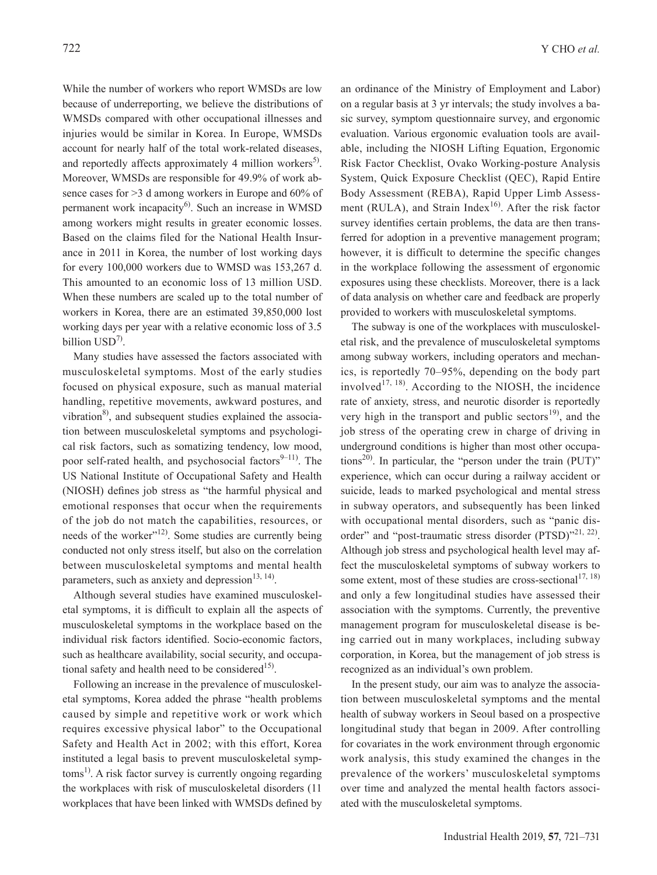While the number of workers who report WMSDs are low because of underreporting, we believe the distributions of WMSDs compared with other occupational illnesses and injuries would be similar in Korea. In Europe, WMSDs account for nearly half of the total work-related diseases, and reportedly affects approximately 4 million workers<sup>[5](#page-8-4))</sup>. Moreover, WMSDs are responsible for 49.9% of work absence cases for >3 d among workers in Europe and 60% of permanent work incapacity $^{6}$  $^{6}$  $^{6}$ . Such an increase in WMSD among workers might results in greater economic losses. Based on the claims filed for the National Health Insurance in 2011 in Korea, the number of lost working days for every 100,000 workers due to WMSD was 153,267 d. This amounted to an economic loss of 13 million USD. When these numbers are scaled up to the total number of workers in Korea, there are an estimated 39,850,000 lost working days per year with a relative economic loss of 3.5 billion USD<sup>[7\)](#page-8-6)</sup>.

Many studies have assessed the factors associated with musculoskeletal symptoms. Most of the early studies focused on physical exposure, such as manual material handling, repetitive movements, awkward postures, and vibration $^{8}$  $^{8}$  $^{8}$ , and subsequent studies explained the association between musculoskeletal symptoms and psychological risk factors, such as somatizing tendency, low mood, poor self-rated health, and psychosocial factors $9-11$ ). The US National Institute of Occupational Safety and Health (NIOSH) defines job stress as "the harmful physical and emotional responses that occur when the requirements of the job do not match the capabilities, resources, or needs of the worker"<sup>[12\)](#page-8-9)</sup>. Some studies are currently being conducted not only stress itself, but also on the correlation between musculoskeletal symptoms and mental health parameters, such as anxiety and depression $^{13, 14}$  $^{13, 14}$  $^{13, 14}$ .

Although several studies have examined musculoskeletal symptoms, it is difficult to explain all the aspects of musculoskeletal symptoms in the workplace based on the individual risk factors identified. Socio-economic factors, such as healthcare availability, social security, and occupational safety and health need to be considered<sup>15)</sup>.

Following an increase in the prevalence of musculoskeletal symptoms, Korea added the phrase "health problems caused by simple and repetitive work or work which requires excessive physical labor" to the Occupational Safety and Health Act in 2002; with this effort, Korea instituted a legal basis to prevent musculoskeletal symptoms<sup>1)</sup>. A risk factor survey is currently ongoing regarding the workplaces with risk of musculoskeletal disorders (11 workplaces that have been linked with WMSDs defined by an ordinance of the Ministry of Employment and Labor) on a regular basis at 3 yr intervals; the study involves a basic survey, symptom questionnaire survey, and ergonomic evaluation. Various ergonomic evaluation tools are available, including the NIOSH Lifting Equation, Ergonomic Risk Factor Checklist, Ovako Working-posture Analysis System, Quick Exposure Checklist (QEC), Rapid Entire Body Assessment (REBA), Rapid Upper Limb Assess-ment (RULA), and Strain Index<sup>[16\)](#page-8-12)</sup>. After the risk factor survey identifies certain problems, the data are then transferred for adoption in a preventive management program; however, it is difficult to determine the specific changes in the workplace following the assessment of ergonomic exposures using these checklists. Moreover, there is a lack of data analysis on whether care and feedback are properly provided to workers with musculoskeletal symptoms.

The subway is one of the workplaces with musculoskeletal risk, and the prevalence of musculoskeletal symptoms among subway workers, including operators and mechanics, is reportedly 70–95%, depending on the body part involved<sup>[17, 18](#page-8-13))</sup>. According to the NIOSH, the incidence rate of anxiety, stress, and neurotic disorder is reportedly very high in the transport and public sectors $^{19}$ , and the job stress of the operating crew in charge of driving in underground conditions is higher than most other occupations<sup>20)</sup>. In particular, the "person under the train  $(PUT)$ " experience, which can occur during a railway accident or suicide, leads to marked psychological and mental stress in subway operators, and subsequently has been linked with occupational mental disorders, such as "panic dis-order" and "post-traumatic stress disorder (PTSD)"<sup>[21, 22](#page-8-16))</sup>. Although job stress and psychological health level may affect the musculoskeletal symptoms of subway workers to some extent, most of these studies are cross-sectional<sup>17, 18)</sup> and only a few longitudinal studies have assessed their association with the symptoms. Currently, the preventive management program for musculoskeletal disease is being carried out in many workplaces, including subway corporation, in Korea, but the management of job stress is recognized as an individual's own problem.

In the present study, our aim was to analyze the association between musculoskeletal symptoms and the mental health of subway workers in Seoul based on a prospective longitudinal study that began in 2009. After controlling for covariates in the work environment through ergonomic work analysis, this study examined the changes in the prevalence of the workers' musculoskeletal symptoms over time and analyzed the mental health factors associated with the musculoskeletal symptoms.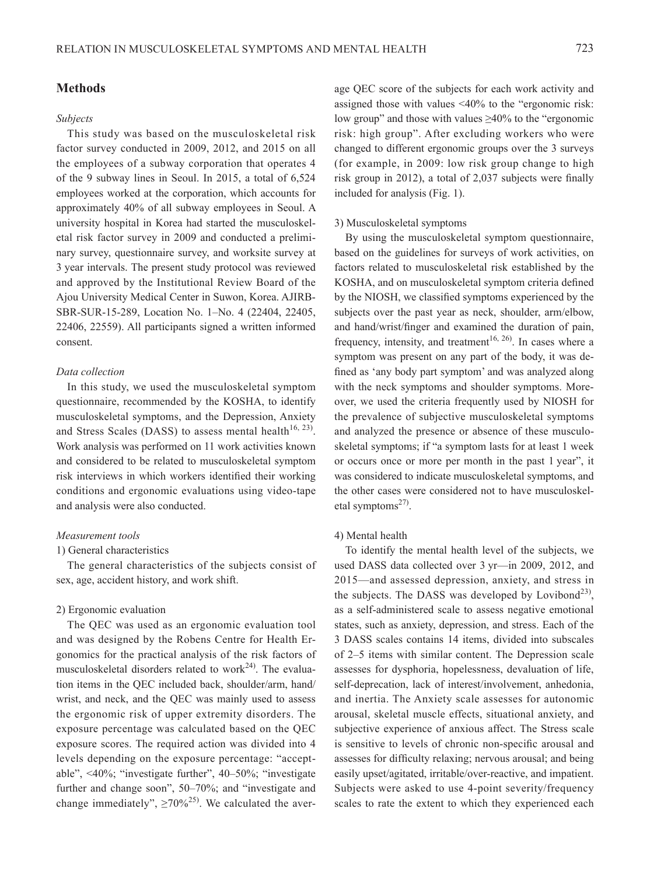# **Methods**

#### *Subjects*

This study was based on the musculoskeletal risk factor survey conducted in 2009, 2012, and 2015 on all the employees of a subway corporation that operates 4 of the 9 subway lines in Seoul. In 2015, a total of 6,524 employees worked at the corporation, which accounts for approximately 40% of all subway employees in Seoul. A university hospital in Korea had started the musculoskeletal risk factor survey in 2009 and conducted a preliminary survey, questionnaire survey, and worksite survey at 3 year intervals. The present study protocol was reviewed and approved by the Institutional Review Board of the Ajou University Medical Center in Suwon, Korea. AJIRB-SBR-SUR-15-289, Location No. 1–No. 4 (22404, 22405, 22406, 22559). All participants signed a written informed consent.

## *Data collection*

In this study, we used the musculoskeletal symptom questionnaire, recommended by the KOSHA, to identify musculoskeletal symptoms, and the Depression, Anxiety and Stress Scales (DASS) to assess mental health<sup>[16, 23](#page-8-12))</sup>. Work analysis was performed on 11 work activities known and considered to be related to musculoskeletal symptom risk interviews in which workers identified their working conditions and ergonomic evaluations using video-tape and analysis were also conducted.

## *Measurement tools*

#### 1) General characteristics

The general characteristics of the subjects consist of sex, age, accident history, and work shift.

#### 2) Ergonomic evaluation

The QEC was used as an ergonomic evaluation tool and was designed by the Robens Centre for Health Ergonomics for the practical analysis of the risk factors of musculoskeletal disorders related to work $^{24}$ . The evaluation items in the QEC included back, shoulder/arm, hand/ wrist, and neck, and the QEC was mainly used to assess the ergonomic risk of upper extremity disorders. The exposure percentage was calculated based on the QEC exposure scores. The required action was divided into 4 levels depending on the exposure percentage: "acceptable", <40%; "investigate further", 40–50%; "investigate further and change soon", 50–70%; and "investigate and change immediately",  $\geq 70\%^{25}$  $\geq 70\%^{25}$  $\geq 70\%^{25}$ . We calculated the aver-

age QEC score of the subjects for each work activity and assigned those with values <40% to the "ergonomic risk: low group" and those with values ≥40% to the "ergonomic risk: high group". After excluding workers who were changed to different ergonomic groups over the 3 surveys (for example, in 2009: low risk group change to high risk group in 2012), a total of 2,037 subjects were finally included for analysis (Fig. 1).

### 3) Musculoskeletal symptoms

By using the musculoskeletal symptom questionnaire, based on the guidelines for surveys of work activities, on factors related to musculoskeletal risk established by the KOSHA, and on musculoskeletal symptom criteria defined by the NIOSH, we classified symptoms experienced by the subjects over the past year as neck, shoulder, arm/elbow, and hand/wrist/finger and examined the duration of pain, frequency, intensity, and treatment<sup>16, 26</sup>). In cases where a symptom was present on any part of the body, it was defined as 'any body part symptom' and was analyzed along with the neck symptoms and shoulder symptoms. Moreover, we used the criteria frequently used by NIOSH for the prevalence of subjective musculoskeletal symptoms and analyzed the presence or absence of these musculoskeletal symptoms; if "a symptom lasts for at least 1 week or occurs once or more per month in the past 1 year", it was considered to indicate musculoskeletal symptoms, and the other cases were considered not to have musculoskeletal symptoms $^{27}$ .

#### 4) Mental health

To identify the mental health level of the subjects, we used DASS data collected over 3 yr—in 2009, 2012, and 2015—and assessed depression, anxiety, and stress in the subjects. The DASS was developed by Lovibond<sup>[23\)](#page-9-3)</sup>, as a self-administered scale to assess negative emotional states, such as anxiety, depression, and stress. Each of the 3 DASS scales contains 14 items, divided into subscales of 2–5 items with similar content. The Depression scale assesses for dysphoria, hopelessness, devaluation of life, self-deprecation, lack of interest/involvement, anhedonia, and inertia. The Anxiety scale assesses for autonomic arousal, skeletal muscle effects, situational anxiety, and subjective experience of anxious affect. The Stress scale is sensitive to levels of chronic non-specific arousal and assesses for difficulty relaxing; nervous arousal; and being easily upset/agitated, irritable/over-reactive, and impatient. Subjects were asked to use 4-point severity/frequency scales to rate the extent to which they experienced each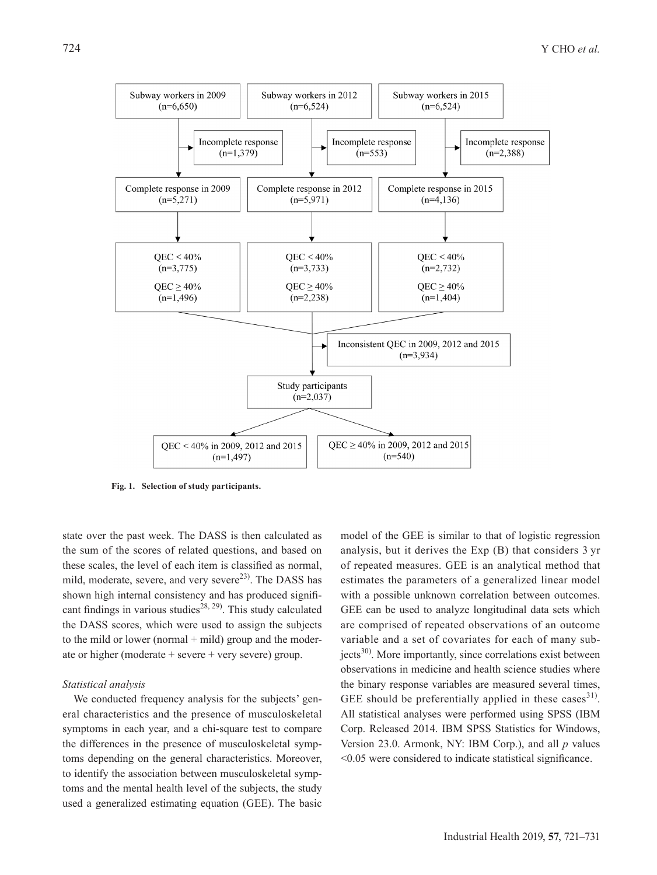

**Fig. 1. Selection of study participants.**

state over the past week. The DASS is then calculated as the sum of the scores of related questions, and based on these scales, the level of each item is classified as normal, mild, moderate, severe, and very severe<sup>23)</sup>. The DASS has shown high internal consistency and has produced signifi-cant findings in various studies<sup>[28, 29](#page-9-4))</sup>. This study calculated the DASS scores, which were used to assign the subjects to the mild or lower (normal  $+$  mild) group and the moderate or higher (moderate + severe + very severe) group.

#### *Statistical analysis*

We conducted frequency analysis for the subjects' general characteristics and the presence of musculoskeletal symptoms in each year, and a chi-square test to compare the differences in the presence of musculoskeletal symptoms depending on the general characteristics. Moreover, to identify the association between musculoskeletal symptoms and the mental health level of the subjects, the study used a generalized estimating equation (GEE). The basic model of the GEE is similar to that of logistic regression analysis, but it derives the Exp (B) that considers 3 yr of repeated measures. GEE is an analytical method that estimates the parameters of a generalized linear model with a possible unknown correlation between outcomes. GEE can be used to analyze longitudinal data sets which are comprised of repeated observations of an outcome variable and a set of covariates for each of many subjects<sup>30)</sup>. More importantly, since correlations exist between observations in medicine and health science studies where the binary response variables are measured several times, GEE should be preferentially applied in these cases  $31$ . All statistical analyses were performed using SPSS (IBM Corp. Released 2014. IBM SPSS Statistics for Windows, Version 23.0. Armonk, NY: IBM Corp.), and all *p* values <0.05 were considered to indicate statistical significance.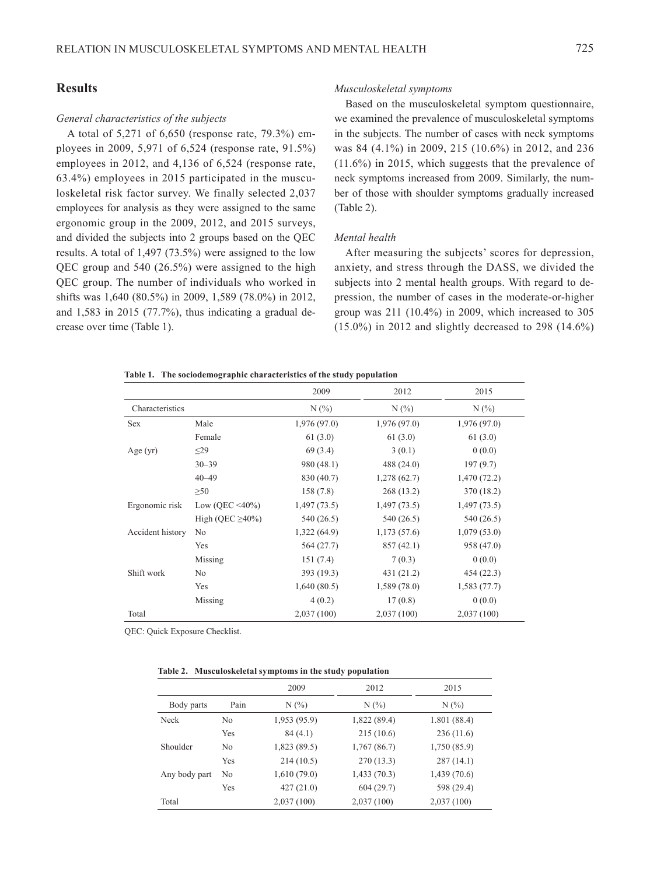# **Results**

#### *General characteristics of the subjects*

A total of 5,271 of 6,650 (response rate, 79.3%) employees in 2009, 5,971 of 6,524 (response rate, 91.5%) employees in 2012, and 4,136 of 6,524 (response rate, 63.4%) employees in 2015 participated in the musculoskeletal risk factor survey. We finally selected 2,037 employees for analysis as they were assigned to the same ergonomic group in the 2009, 2012, and 2015 surveys, and divided the subjects into 2 groups based on the QEC results. A total of 1,497 (73.5%) were assigned to the low QEC group and 540 (26.5%) were assigned to the high QEC group. The number of individuals who worked in shifts was 1,640 (80.5%) in 2009, 1,589 (78.0%) in 2012, and 1,583 in 2015 (77.7%), thus indicating a gradual decrease over time (Table 1).

#### *Musculoskeletal symptoms*

Based on the musculoskeletal symptom questionnaire, we examined the prevalence of musculoskeletal symptoms in the subjects. The number of cases with neck symptoms was 84 (4.1%) in 2009, 215 (10.6%) in 2012, and 236 (11.6%) in 2015, which suggests that the prevalence of neck symptoms increased from 2009. Similarly, the number of those with shoulder symptoms gradually increased (Table 2).

## *Mental health*

After measuring the subjects' scores for depression, anxiety, and stress through the DASS, we divided the subjects into 2 mental health groups. With regard to depression, the number of cases in the moderate-or-higher group was 211 (10.4%) in 2009, which increased to 305 (15.0%) in 2012 and slightly decreased to 298 (14.6%)

#### **Table 1. The sociodemographic characteristics of the study population**

|                  |                       | 2009        | 2012         | 2015        |
|------------------|-----------------------|-------------|--------------|-------------|
| Characteristics  |                       | $N(\%)$     | N(%          | $N(\%)$     |
| Sex              | Male                  | 1,976(97.0) | 1,976(97.0)  | 1,976(97.0) |
|                  | Female                | 61(3.0)     | 61(3.0)      | 61(3.0)     |
| Age(yr)          | $\leq$ 29             | 69 (3.4)    | 3(0.1)       | 0(0.0)      |
|                  | $30 - 39$             | 980 (48.1)  | 488 $(24.0)$ | 197(9.7)    |
|                  | $40 - 49$             | 830 (40.7)  | 1,278(62.7)  | 1,470(72.2) |
|                  | $\geq 50$             | 158(7.8)    | 268 (13.2)   | 370 (18.2)  |
| Ergonomic risk   | Low (QEC <40%)        | 1,497(73.5) | 1,497(73.5)  | 1,497(73.5) |
|                  | High (QEC $\geq$ 40%) | 540 (26.5)  | 540 (26.5)   | 540 (26.5)  |
| Accident history | No                    | 1,322(64.9) | 1,173(57.6)  | 1,079(53.0) |
|                  | Yes                   | 564 (27.7)  | 857(42.1)    | 958 (47.0)  |
|                  | Missing               | 151(7.4)    | 7(0.3)       | 0(0.0)      |
| Shift work       | No                    | 393 (19.3)  | 431(21.2)    | 454 (22.3)  |
|                  | Yes                   | 1,640(80.5) | 1,589(78.0)  | 1,583(77.7) |
|                  | Missing               | 4(0.2)      | 17(0.8)      | 0(0.0)      |
| Total            |                       | 2,037(100)  | 2,037(100)   | 2,037(100)  |

QEC: Quick Exposure Checklist.

|  | Table 2. Musculoskeletal symptoms in the study population |  |
|--|-----------------------------------------------------------|--|
|--|-----------------------------------------------------------|--|

|               |                | 2009        | 2012        | 2015         |
|---------------|----------------|-------------|-------------|--------------|
| Body parts    | Pain           | $N(\%)$     | $N(\%)$     | N(%          |
| Neck          | N <sub>0</sub> | 1,953(95.9) | 1,822(89.4) | 1.801(88.4)  |
|               | Yes            | 84(4.1)     | 215(10.6)   | 236(11.6)    |
| Shoulder      | N <sub>0</sub> | 1,823(89.5) | 1,767(86.7) | 1,750 (85.9) |
|               | Yes            | 214(10.5)   | 270(13.3)   | 287(14.1)    |
| Any body part | No             | 1,610(79.0) | 1,433(70.3) | 1,439(70.6)  |
|               | Yes            | 427(21.0)   | 604(29.7)   | 598 (29.4)   |
| Total         |                | 2,037(100)  | 2,037(100)  | 2,037(100)   |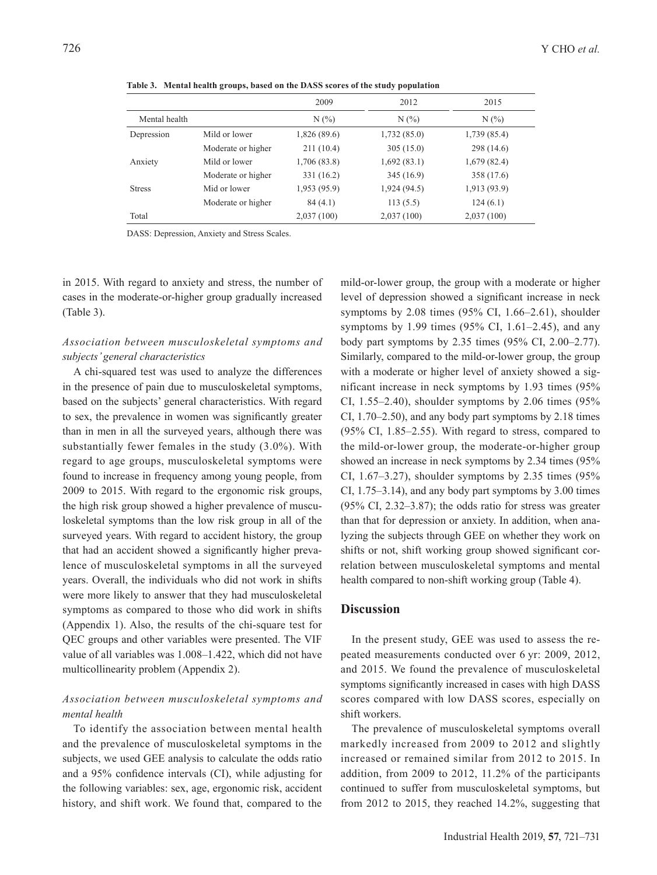|               |                    | 2009         | 2012        | 2015         |
|---------------|--------------------|--------------|-------------|--------------|
| Mental health |                    | $N(\%)$      | $N(\%)$     | N(%)         |
| Depression    | Mild or lower      | 1,826 (89.6) | 1,732(85.0) | 1,739 (85.4) |
|               | Moderate or higher | 211(10.4)    | 305(15.0)   | 298 (14.6)   |
| Anxiety       | Mild or lower      | 1,706 (83.8) | 1,692(83.1) | 1,679(82.4)  |
|               | Moderate or higher | 331 (16.2)   | 345 (16.9)  | 358 (17.6)   |
| <b>Stress</b> | Mid or lower       | 1,953 (95.9) | 1,924(94.5) | 1,913 (93.9) |
|               | Moderate or higher | 84(4.1)      | 113(5.5)    | 124(6.1)     |
| Total         |                    | 2,037(100)   | 2,037(100)  | 2,037(100)   |

**Table 3. Mental health groups, based on the DASS scores of the study population**

DASS: Depression, Anxiety and Stress Scales.

in 2015. With regard to anxiety and stress, the number of cases in the moderate-or-higher group gradually increased (Table 3).

# *Association between musculoskeletal symptoms and subjects' general characteristics*

A chi-squared test was used to analyze the differences in the presence of pain due to musculoskeletal symptoms, based on the subjects' general characteristics. With regard to sex, the prevalence in women was significantly greater than in men in all the surveyed years, although there was substantially fewer females in the study (3.0%). With regard to age groups, musculoskeletal symptoms were found to increase in frequency among young people, from 2009 to 2015. With regard to the ergonomic risk groups, the high risk group showed a higher prevalence of musculoskeletal symptoms than the low risk group in all of the surveyed years. With regard to accident history, the group that had an accident showed a significantly higher prevalence of musculoskeletal symptoms in all the surveyed years. Overall, the individuals who did not work in shifts were more likely to answer that they had musculoskeletal symptoms as compared to those who did work in shifts (Appendix 1). Also, the results of the chi-square test for QEC groups and other variables were presented. The VIF value of all variables was 1.008–1.422, which did not have multicollinearity problem (Appendix 2).

# *Association between musculoskeletal symptoms and mental health*

To identify the association between mental health and the prevalence of musculoskeletal symptoms in the subjects, we used GEE analysis to calculate the odds ratio and a 95% confidence intervals (CI), while adjusting for the following variables: sex, age, ergonomic risk, accident history, and shift work. We found that, compared to the mild-or-lower group, the group with a moderate or higher level of depression showed a significant increase in neck symptoms by 2.08 times (95% CI, 1.66–2.61), shoulder symptoms by 1.99 times (95% CI, 1.61–2.45), and any body part symptoms by 2.35 times (95% CI, 2.00–2.77). Similarly, compared to the mild-or-lower group, the group with a moderate or higher level of anxiety showed a significant increase in neck symptoms by 1.93 times (95% CI, 1.55–2.40), shoulder symptoms by 2.06 times (95% CI, 1.70–2.50), and any body part symptoms by 2.18 times (95% CI, 1.85–2.55). With regard to stress, compared to the mild-or-lower group, the moderate-or-higher group showed an increase in neck symptoms by 2.34 times (95% CI,  $1.67-3.27$ ), shoulder symptoms by 2.35 times  $(95\%$ CI, 1.75–3.14), and any body part symptoms by 3.00 times (95% CI, 2.32–3.87); the odds ratio for stress was greater than that for depression or anxiety. In addition, when analyzing the subjects through GEE on whether they work on shifts or not, shift working group showed significant correlation between musculoskeletal symptoms and mental health compared to non-shift working group (Table 4).

## **Discussion**

In the present study, GEE was used to assess the repeated measurements conducted over 6 yr: 2009, 2012, and 2015. We found the prevalence of musculoskeletal symptoms significantly increased in cases with high DASS scores compared with low DASS scores, especially on shift workers.

The prevalence of musculoskeletal symptoms overall markedly increased from 2009 to 2012 and slightly increased or remained similar from 2012 to 2015. In addition, from 2009 to 2012, 11.2% of the participants continued to suffer from musculoskeletal symptoms, but from 2012 to 2015, they reached 14.2%, suggesting that

 $\overline{a}$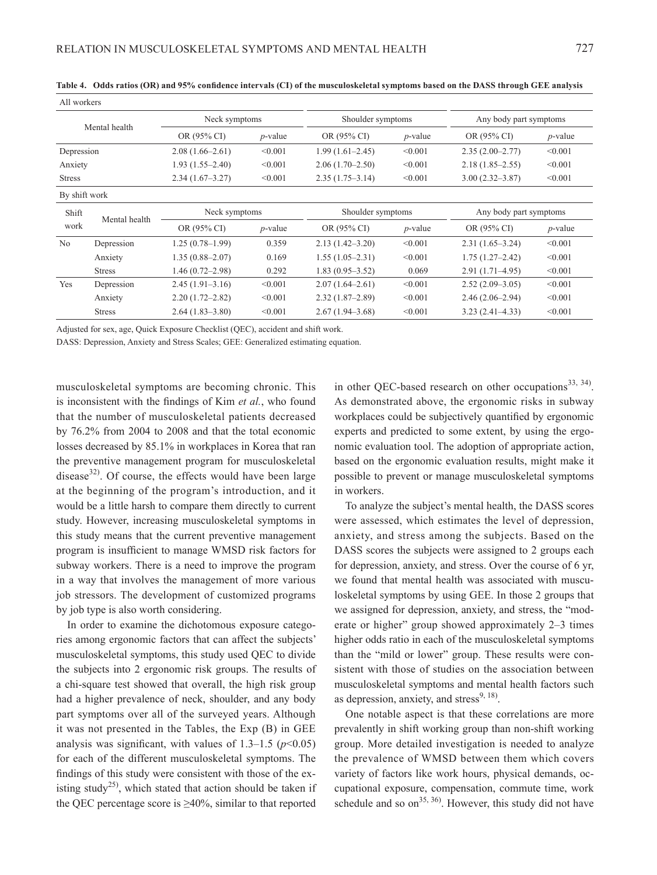| All workers   |               |                     |            |                     |            |                        |            |  |
|---------------|---------------|---------------------|------------|---------------------|------------|------------------------|------------|--|
|               |               | Neck symptoms       |            | Shoulder symptoms   |            | Any body part symptoms |            |  |
|               | Mental health | OR (95% CI)         | $p$ -value | OR (95% CI)         | $p$ -value | OR (95% CI)            | $p$ -value |  |
| Depression    |               | $2.08(1.66-2.61)$   | < 0.001    | $1.99(1.61 - 2.45)$ | < 0.001    | $2.35(2.00-2.77)$      | < 0.001    |  |
| Anxiety       |               | $1.93(1.55 - 2.40)$ | < 0.001    | $2.06(1.70-2.50)$   | < 0.001    | $2.18(1.85 - 2.55)$    | < 0.001    |  |
| <b>Stress</b> |               | $2.34(1.67-3.27)$   | < 0.001    | $2.35(1.75-3.14)$   | < 0.001    | $3.00(2.32 - 3.87)$    | < 0.001    |  |
| By shift work |               |                     |            |                     |            |                        |            |  |
| Shift<br>work | Mental health | Neck symptoms       |            | Shoulder symptoms   |            | Any body part symptoms |            |  |
|               |               | OR (95% CI)         | $p$ -value | OR (95% CI)         | $p$ -value | OR (95% CI)            | $p$ -value |  |
| No            | Depression    | $1.25(0.78-1.99)$   | 0.359      | $2.13(1.42 - 3.20)$ | < 0.001    | $2.31(1.65-3.24)$      | < 0.001    |  |
|               | Anxiety       | $1.35(0.88 - 2.07)$ | 0.169      | $1.55(1.05-2.31)$   | < 0.001    | $1.75(1.27 - 2.42)$    | < 0.001    |  |
|               | <b>Stress</b> | $1.46(0.72 - 2.98)$ | 0.292      | $1.83(0.95 - 3.52)$ | 0.069      | $2.91(1.71 - 4.95)$    | < 0.001    |  |
| Yes           | Depression    | $2.45(1.91 - 3.16)$ | < 0.001    | $2.07(1.64 - 2.61)$ | < 0.001    | $2.52(2.09-3.05)$      | < 0.001    |  |
|               | Anxiety       | $2.20(1.72 - 2.82)$ | < 0.001    | $2.32(1.87-2.89)$   | < 0.001    | $2.46(2.06-2.94)$      | < 0.001    |  |
|               | <b>Stress</b> | $2.64(1.83 - 3.80)$ | < 0.001    | $2.67(1.94 - 3.68)$ | < 0.001    | $3.23(2.41-4.33)$      | < 0.001    |  |

**Table 4. Odds ratios (OR) and 95% confidence intervals (CI) of the musculoskeletal symptoms based on the DASS through GEE analysis**

Adjusted for sex, age, Quick Exposure Checklist (QEC), accident and shift work.

DASS: Depression, Anxiety and Stress Scales; GEE: Generalized estimating equation.

musculoskeletal symptoms are becoming chronic. This is inconsistent with the findings of Kim *et al.*, who found that the number of musculoskeletal patients decreased by 76.2% from 2004 to 2008 and that the total economic losses decreased by 85.1% in workplaces in Korea that ran the preventive management program for musculoskeletal disease $32$ . Of course, the effects would have been large at the beginning of the program's introduction, and it would be a little harsh to compare them directly to current study. However, increasing musculoskeletal symptoms in this study means that the current preventive management program is insufficient to manage WMSD risk factors for subway workers. There is a need to improve the program in a way that involves the management of more various job stressors. The development of customized programs by job type is also worth considering.

In order to examine the dichotomous exposure categories among ergonomic factors that can affect the subjects' musculoskeletal symptoms, this study used QEC to divide the subjects into 2 ergonomic risk groups. The results of a chi-square test showed that overall, the high risk group had a higher prevalence of neck, shoulder, and any body part symptoms over all of the surveyed years. Although it was not presented in the Tables, the Exp (B) in GEE analysis was significant, with values of  $1.3-1.5$  ( $p<0.05$ ) for each of the different musculoskeletal symptoms. The findings of this study were consistent with those of the ex-isting study<sup>[25](#page-9-1))</sup>, which stated that action should be taken if the QEC percentage score is  $\geq 40\%$ , similar to that reported

in other OEC-based research on other occupations<sup>[33, 34\)](#page-9-8)</sup>. As demonstrated above, the ergonomic risks in subway workplaces could be subjectively quantified by ergonomic experts and predicted to some extent, by using the ergonomic evaluation tool. The adoption of appropriate action, based on the ergonomic evaluation results, might make it possible to prevent or manage musculoskeletal symptoms in workers.

To analyze the subject's mental health, the DASS scores were assessed, which estimates the level of depression, anxiety, and stress among the subjects. Based on the DASS scores the subjects were assigned to 2 groups each for depression, anxiety, and stress. Over the course of 6 yr, we found that mental health was associated with musculoskeletal symptoms by using GEE. In those 2 groups that we assigned for depression, anxiety, and stress, the "moderate or higher" group showed approximately 2–3 times higher odds ratio in each of the musculoskeletal symptoms than the "mild or lower" group. These results were consistent with those of studies on the association between musculoskeletal symptoms and mental health factors such as depression, anxiety, and stress $9, 18$ .

One notable aspect is that these correlations are more prevalently in shift working group than non-shift working group. More detailed investigation is needed to analyze the prevalence of WMSD between them which covers variety of factors like work hours, physical demands, occupational exposure, compensation, commute time, work schedule and so  $\text{on}^{35, 36}$ . However, this study did not have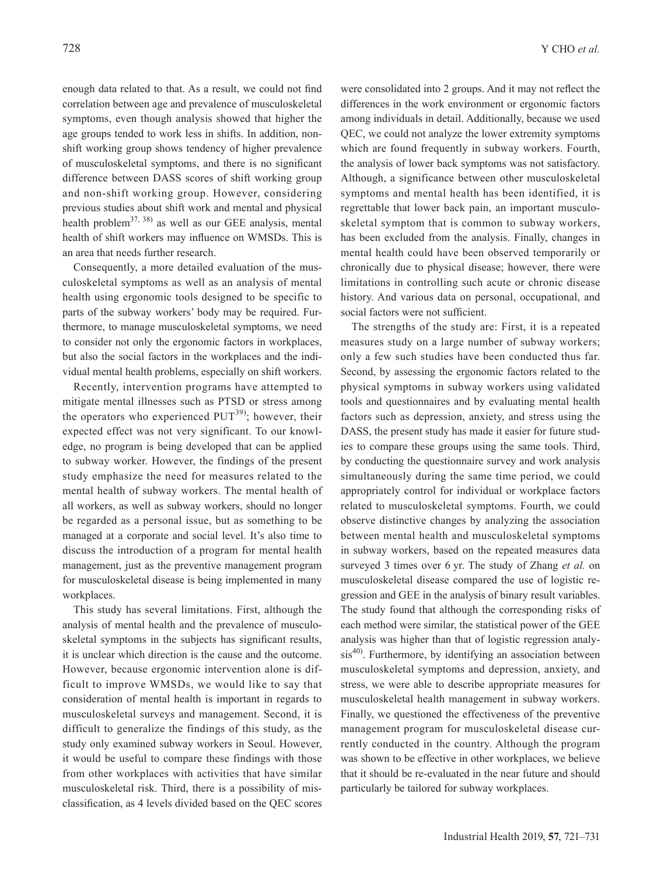enough data related to that. As a result, we could not find correlation between age and prevalence of musculoskeletal symptoms, even though analysis showed that higher the age groups tended to work less in shifts. In addition, nonshift working group shows tendency of higher prevalence of musculoskeletal symptoms, and there is no significant difference between DASS scores of shift working group and non-shift working group. However, considering previous studies about shift work and mental and physical health problem<sup>37, 38)</sup> as well as our GEE analysis, mental health of shift workers may influence on WMSDs. This is an area that needs further research.

Consequently, a more detailed evaluation of the musculoskeletal symptoms as well as an analysis of mental health using ergonomic tools designed to be specific to parts of the subway workers' body may be required. Furthermore, to manage musculoskeletal symptoms, we need to consider not only the ergonomic factors in workplaces, but also the social factors in the workplaces and the individual mental health problems, especially on shift workers.

Recently, intervention programs have attempted to mitigate mental illnesses such as PTSD or stress among the operators who experienced  $PUT^{39}$ ; however, their expected effect was not very significant. To our knowledge, no program is being developed that can be applied to subway worker. However, the findings of the present study emphasize the need for measures related to the mental health of subway workers. The mental health of all workers, as well as subway workers, should no longer be regarded as a personal issue, but as something to be managed at a corporate and social level. It's also time to discuss the introduction of a program for mental health management, just as the preventive management program for musculoskeletal disease is being implemented in many workplaces.

This study has several limitations. First, although the analysis of mental health and the prevalence of musculoskeletal symptoms in the subjects has significant results, it is unclear which direction is the cause and the outcome. However, because ergonomic intervention alone is difficult to improve WMSDs, we would like to say that consideration of mental health is important in regards to musculoskeletal surveys and management. Second, it is difficult to generalize the findings of this study, as the study only examined subway workers in Seoul. However, it would be useful to compare these findings with those from other workplaces with activities that have similar musculoskeletal risk. Third, there is a possibility of misclassification, as 4 levels divided based on the QEC scores

were consolidated into 2 groups. And it may not reflect the differences in the work environment or ergonomic factors among individuals in detail. Additionally, because we used QEC, we could not analyze the lower extremity symptoms which are found frequently in subway workers. Fourth, the analysis of lower back symptoms was not satisfactory. Although, a significance between other musculoskeletal symptoms and mental health has been identified, it is regrettable that lower back pain, an important musculoskeletal symptom that is common to subway workers, has been excluded from the analysis. Finally, changes in mental health could have been observed temporarily or chronically due to physical disease; however, there were limitations in controlling such acute or chronic disease history. And various data on personal, occupational, and social factors were not sufficient.

The strengths of the study are: First, it is a repeated measures study on a large number of subway workers; only a few such studies have been conducted thus far. Second, by assessing the ergonomic factors related to the physical symptoms in subway workers using validated tools and questionnaires and by evaluating mental health factors such as depression, anxiety, and stress using the DASS, the present study has made it easier for future studies to compare these groups using the same tools. Third, by conducting the questionnaire survey and work analysis simultaneously during the same time period, we could appropriately control for individual or workplace factors related to musculoskeletal symptoms. Fourth, we could observe distinctive changes by analyzing the association between mental health and musculoskeletal symptoms in subway workers, based on the repeated measures data surveyed 3 times over 6 yr. The study of Zhang *et al.* on musculoskeletal disease compared the use of logistic regression and GEE in the analysis of binary result variables. The study found that although the corresponding risks of each method were similar, the statistical power of the GEE analysis was higher than that of logistic regression analy-sis<sup>[40\)](#page-9-12)</sup>. Furthermore, by identifying an association between musculoskeletal symptoms and depression, anxiety, and stress, we were able to describe appropriate measures for musculoskeletal health management in subway workers. Finally, we questioned the effectiveness of the preventive management program for musculoskeletal disease currently conducted in the country. Although the program was shown to be effective in other workplaces, we believe that it should be re-evaluated in the near future and should particularly be tailored for subway workplaces.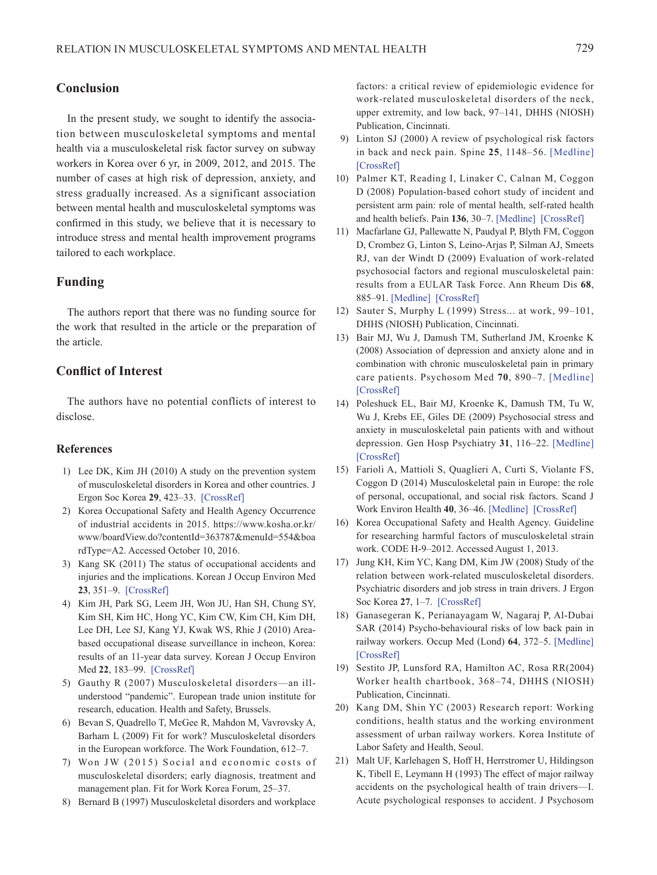# **Conclusion**

In the present study, we sought to identify the association between musculoskeletal symptoms and mental health via a musculoskeletal risk factor survey on subway workers in Korea over 6 yr, in 2009, 2012, and 2015. The number of cases at high risk of depression, anxiety, and stress gradually increased. As a significant association between mental health and musculoskeletal symptoms was confirmed in this study, we believe that it is necessary to introduce stress and mental health improvement programs tailored to each workplace.

## **Funding**

The authors report that there was no funding source for the work that resulted in the article or the preparation of the article.

## **Conflict of Interest**

The authors have no potential conflicts of interest to disclose.

#### **References**

- <span id="page-8-0"></span>1) Lee DK, Kim JH (2010) A study on the prevention system of musculoskeletal disorders in Korea and other countries. J Ergon Soc Korea **29**, 423–33. [\[CrossRef\]](http://dx.doi.org/10.5143/JESK.2010.29.4.423)
- <span id="page-8-1"></span>2) Korea Occupational Safety and Health Agency Occurrence of industrial accidents in 2015. https://www.kosha.or.kr/ www/boardView.do?contentId=363787&menuId=554&boa rdType=A2. Accessed October 10, 2016.
- <span id="page-8-2"></span>3) Kang SK (2011) The status of occupational accidents and injuries and the implications. Korean J Occup Environ Med **23**, 351–9. [\[CrossRef\]](http://dx.doi.org/10.35371/kjoem.2011.23.4.351)
- <span id="page-8-3"></span>4) Kim JH, Park SG, Leem JH, Won JU, Han SH, Chung SY, Kim SH, Kim HC, Hong YC, Kim CW, Kim CH, Kim DH, Lee DH, Lee SJ, Kang YJ, Kwak WS, Rhie J (2010) Areabased occupational disease surveillance in incheon, Korea: results of an 11-year data survey. Korean J Occup Environ Med **22**, 183–99. [\[CrossRef\]](http://dx.doi.org/10.35371/kjoem.2010.22.3.183)
- <span id="page-8-4"></span>5) Gauthy R (2007) Musculoskeletal disorders—an illunderstood "pandemic". European trade union institute for research, education. Health and Safety, Brussels.
- <span id="page-8-5"></span>6) Bevan S, Quadrello T, McGee R, Mahdon M, Vavrovsky A, Barham L (2009) Fit for work? Musculoskeletal disorders in the European workforce. The Work Foundation, 612–7.
- <span id="page-8-6"></span>7) Won JW (2015) Social and economic costs of musculoskeletal disorders; early diagnosis, treatment and management plan. Fit for Work Korea Forum, 25–37.
- <span id="page-8-7"></span>8) Bernard B (1997) Musculoskeletal disorders and workplace

factors: a critical review of epidemiologic evidence for work-related musculoskeletal disorders of the neck, upper extremity, and low back, 97–141, DHHS (NIOSH) Publication, Cincinnati.

- <span id="page-8-8"></span>9) Linton SJ (2000) A review of psychological risk factors in back and neck pain. Spine **25**, 1148–56. [\[Medline\]](http://www.ncbi.nlm.nih.gov/pubmed/10788861?dopt=Abstract) [\[CrossRef\]](http://dx.doi.org/10.1097/00007632-200005010-00017)
- 10) Palmer KT, Reading I, Linaker C, Calnan M, Coggon D (2008) Population-based cohort study of incident and persistent arm pain: role of mental health, self-rated health and health beliefs. Pain **136**, 30–7. [\[Medline\]](http://www.ncbi.nlm.nih.gov/pubmed/17689865?dopt=Abstract) [\[CrossRef\]](http://dx.doi.org/10.1016/j.pain.2007.06.011)
- 11) Macfarlane GJ, Pallewatte N, Paudyal P, Blyth FM, Coggon D, Crombez G, Linton S, Leino-Arjas P, Silman AJ, Smeets RJ, van der Windt D (2009) Evaluation of work-related psychosocial factors and regional musculoskeletal pain: results from a EULAR Task Force. Ann Rheum Dis **68**, 885–91. [\[Medline\]](http://www.ncbi.nlm.nih.gov/pubmed/18723563?dopt=Abstract) [\[CrossRef\]](http://dx.doi.org/10.1136/ard.2008.090829)
- <span id="page-8-9"></span>12) Sauter S, Murphy L (1999) Stress... at work, 99–101, DHHS (NIOSH) Publication, Cincinnati.
- <span id="page-8-10"></span>13) Bair MJ, Wu J, Damush TM, Sutherland JM, Kroenke K (2008) Association of depression and anxiety alone and in combination with chronic musculoskeletal pain in primary care patients. Psychosom Med **70**, 890–7. [\[Medline\]](http://www.ncbi.nlm.nih.gov/pubmed/18799425?dopt=Abstract) [\[CrossRef\]](http://dx.doi.org/10.1097/PSY.0b013e318185c510)
- 14) Poleshuck EL, Bair MJ, Kroenke K, Damush TM, Tu W, Wu J, Krebs EE, Giles DE (2009) Psychosocial stress and anxiety in musculoskeletal pain patients with and without depression. Gen Hosp Psychiatry **31**, 116–22. [\[Medline\]](http://www.ncbi.nlm.nih.gov/pubmed/19269531?dopt=Abstract) [\[CrossRef\]](http://dx.doi.org/10.1016/j.genhosppsych.2008.10.003)
- <span id="page-8-11"></span>15) Farioli A, Mattioli S, Quaglieri A, Curti S, Violante FS, Coggon D (2014) Musculoskeletal pain in Europe: the role of personal, occupational, and social risk factors. Scand J Work Environ Health **40**, 36–46. [\[Medline\]](http://www.ncbi.nlm.nih.gov/pubmed/24009006?dopt=Abstract) [\[CrossRef\]](http://dx.doi.org/10.5271/sjweh.3381)
- <span id="page-8-12"></span>16) Korea Occupational Safety and Health Agency. Guideline for researching harmful factors of musculoskeletal strain work. CODE H-9–2012. Accessed August 1, 2013.
- <span id="page-8-13"></span>17) Jung KH, Kim YC, Kang DM, Kim JW (2008) Study of the relation between work-related musculoskeletal disorders. Psychiatric disorders and job stress in train drivers. J Ergon Soc Korea **27**, 1–7. [\[CrossRef\]](http://dx.doi.org/10.5143/JESK.2008.27.1.001)
- 18) Ganasegeran K, Perianayagam W, Nagaraj P, Al-Dubai SAR (2014) Psycho-behavioural risks of low back pain in railway workers. Occup Med (Lond) **64**, 372–5. [\[Medline\]](http://www.ncbi.nlm.nih.gov/pubmed/24727561?dopt=Abstract) [\[CrossRef\]](http://dx.doi.org/10.1093/occmed/kqu039)
- <span id="page-8-14"></span>19) Sestito JP, Lunsford RA, Hamilton AC, Rosa RR(2004) Worker health chartbook, 368–74, DHHS (NIOSH) Publication, Cincinnati.
- <span id="page-8-15"></span>20) Kang DM, Shin YC (2003) Research report: Working conditions, health status and the working environment assessment of urban railway workers. Korea Institute of Labor Safety and Health, Seoul.
- <span id="page-8-16"></span>21) Malt UF, Karlehagen S, Hoff H, Herrstromer U, Hildingson K, Tibell E, Leymann H (1993) The effect of major railway accidents on the psychological health of train drivers—I. Acute psychological responses to accident. J Psychosom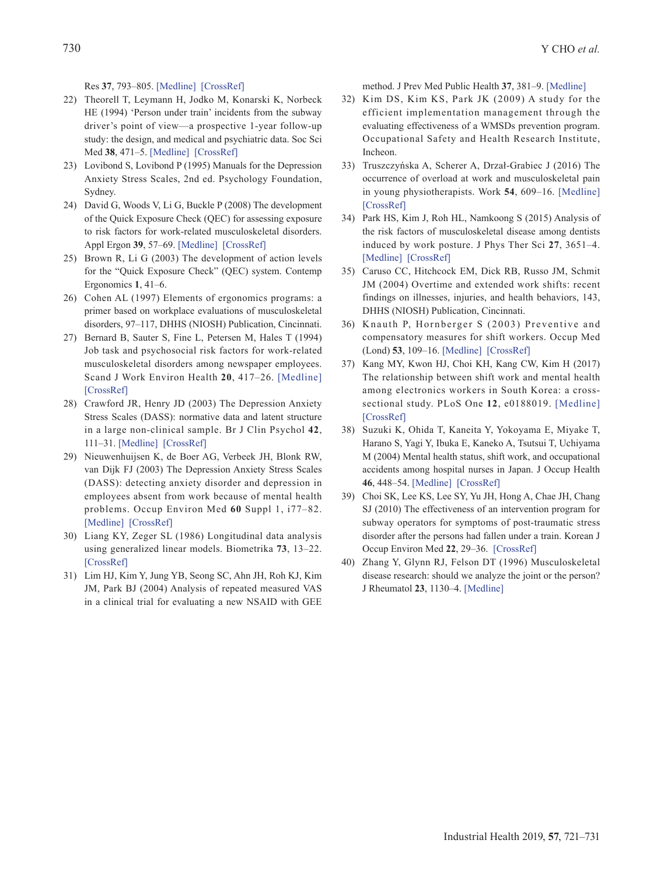Res **37**, 793–805. [\[Medline\]](http://www.ncbi.nlm.nih.gov/pubmed/8301620?dopt=Abstract) [\[CrossRef\]](http://dx.doi.org/10.1016/0022-3999(93)90169-G)

- 22) Theorell T, Leymann H, Jodko M, Konarski K, Norbeck HE (1994) 'Person under train' incidents from the subway driver's point of view—a prospective 1-year follow-up study: the design, and medical and psychiatric data. Soc Sci Med **38**, 471–5. [\[Medline\]](http://www.ncbi.nlm.nih.gov/pubmed/8153753?dopt=Abstract) [\[CrossRef\]](http://dx.doi.org/10.1016/0277-9536(94)90449-9)
- <span id="page-9-3"></span>23) Lovibond S, Lovibond P (1995) Manuals for the Depression Anxiety Stress Scales, 2nd ed. Psychology Foundation, Sydney.
- <span id="page-9-0"></span>24) David G, Woods V, Li G, Buckle P (2008) The development of the Quick Exposure Check (QEC) for assessing exposure to risk factors for work-related musculoskeletal disorders. Appl Ergon **39**, 57–69. [\[Medline\]](http://www.ncbi.nlm.nih.gov/pubmed/17512492?dopt=Abstract) [\[CrossRef\]](http://dx.doi.org/10.1016/j.apergo.2007.03.002)
- <span id="page-9-1"></span>25) Brown R, Li G (2003) The development of action levels for the "Quick Exposure Check" (QEC) system. Contemp Ergonomics **1**, 41–6.
- 26) Cohen AL (1997) Elements of ergonomics programs: a primer based on workplace evaluations of musculoskeletal disorders, 97–117, DHHS (NIOSH) Publication, Cincinnati.
- <span id="page-9-2"></span>27) Bernard B, Sauter S, Fine L, Petersen M, Hales T (1994) Job task and psychosocial risk factors for work-related musculoskeletal disorders among newspaper employees. Scand J Work Environ Health **20**, 417–26. [\[Medline\]](http://www.ncbi.nlm.nih.gov/pubmed/7701287?dopt=Abstract) [\[CrossRef\]](http://dx.doi.org/10.5271/sjweh.1379)
- <span id="page-9-4"></span>28) Crawford JR, Henry JD (2003) The Depression Anxiety Stress Scales (DASS): normative data and latent structure in a large non-clinical sample. Br J Clin Psychol **42**, 111–31. [\[Medline\]](http://www.ncbi.nlm.nih.gov/pubmed/12828802?dopt=Abstract) [\[CrossRef\]](http://dx.doi.org/10.1348/014466503321903544)
- 29) Nieuwenhuijsen K, de Boer AG, Verbeek JH, Blonk RW, van Dijk FJ (2003) The Depression Anxiety Stress Scales (DASS): detecting anxiety disorder and depression in employees absent from work because of mental health problems. Occup Environ Med **60** Suppl 1, i77–82. [\[Medline\]](http://www.ncbi.nlm.nih.gov/pubmed/12782751?dopt=Abstract) [\[CrossRef\]](http://dx.doi.org/10.1136/oem.60.suppl_1.i77)
- <span id="page-9-5"></span>30) Liang KY, Zeger SL (1986) Longitudinal data analysis using generalized linear models. Biometrika **73**, 13–22. [\[CrossRef\]](http://dx.doi.org/10.1093/biomet/73.1.13)
- <span id="page-9-6"></span>31) Lim HJ, Kim Y, Jung YB, Seong SC, Ahn JH, Roh KJ, Kim JM, Park BJ (2004) Analysis of repeated measured VAS in a clinical trial for evaluating a new NSAID with GEE

method. J Prev Med Public Health **37**, 381–9. [\[Medline\]](http://www.ncbi.nlm.nih.gov/pubmed/25175621?dopt=Abstract)

- <span id="page-9-7"></span>32) Kim DS, Kim KS, Park JK (2009) A study for the efficient implementation management through the evaluating effectiveness of a WMSDs prevention program. Occupational Safety and Health Research Institute, Incheon.
- <span id="page-9-8"></span>33) Truszczyńska A, Scherer A, Drzał-Grabiec J (2016) The occurrence of overload at work and musculoskeletal pain in young physiotherapists. Work **54**, 609–16. [\[Medline\]](http://www.ncbi.nlm.nih.gov/pubmed/27341517?dopt=Abstract) [\[CrossRef\]](http://dx.doi.org/10.3233/WOR-162343)
- 34) Park HS, Kim J, Roh HL, Namkoong S (2015) Analysis of the risk factors of musculoskeletal disease among dentists induced by work posture. J Phys Ther Sci **27**, 3651–4. [\[Medline\]](http://www.ncbi.nlm.nih.gov/pubmed/26834324?dopt=Abstract) [\[CrossRef\]](http://dx.doi.org/10.1589/jpts.27.3651)
- <span id="page-9-9"></span>35) Caruso CC, Hitchcock EM, Dick RB, Russo JM, Schmit JM (2004) Overtime and extended work shifts: recent findings on illnesses, injuries, and health behaviors, 143, DHHS (NIOSH) Publication, Cincinnati.
- 36) Knauth P, Hornberger S (2003) Preventive and compensatory measures for shift workers. Occup Med (Lond) **53**, 109–16. [\[Medline\]](http://www.ncbi.nlm.nih.gov/pubmed/12637595?dopt=Abstract) [\[CrossRef\]](http://dx.doi.org/10.1093/occmed/kqg049)
- <span id="page-9-10"></span>37) Kang MY, Kwon HJ, Choi KH, Kang CW, Kim H (2017) The relationship between shift work and mental health among electronics workers in South Korea: a crosssectional study. PLoS One **12**, e0188019. [\[Medline\]](http://www.ncbi.nlm.nih.gov/pubmed/29145440?dopt=Abstract) [\[CrossRef\]](http://dx.doi.org/10.1371/journal.pone.0188019)
- 38) Suzuki K, Ohida T, Kaneita Y, Yokoyama E, Miyake T, Harano S, Yagi Y, Ibuka E, Kaneko A, Tsutsui T, Uchiyama M (2004) Mental health status, shift work, and occupational accidents among hospital nurses in Japan. J Occup Health **46**, 448–54. [\[Medline\]](http://www.ncbi.nlm.nih.gov/pubmed/15613767?dopt=Abstract) [\[CrossRef\]](http://dx.doi.org/10.1539/joh.46.448)
- <span id="page-9-11"></span>39) Choi SK, Lee KS, Lee SY, Yu JH, Hong A, Chae JH, Chang SJ (2010) The effectiveness of an intervention program for subway operators for symptoms of post-traumatic stress disorder after the persons had fallen under a train. Korean J Occup Environ Med **22**, 29–36. [\[CrossRef\]](http://dx.doi.org/10.35371/kjoem.2010.22.1.29)
- <span id="page-9-12"></span>40) Zhang Y, Glynn RJ, Felson DT (1996) Musculoskeletal disease research: should we analyze the joint or the person? J Rheumatol **23**, 1130–4. [\[Medline\]](http://www.ncbi.nlm.nih.gov/pubmed/8823682?dopt=Abstract)